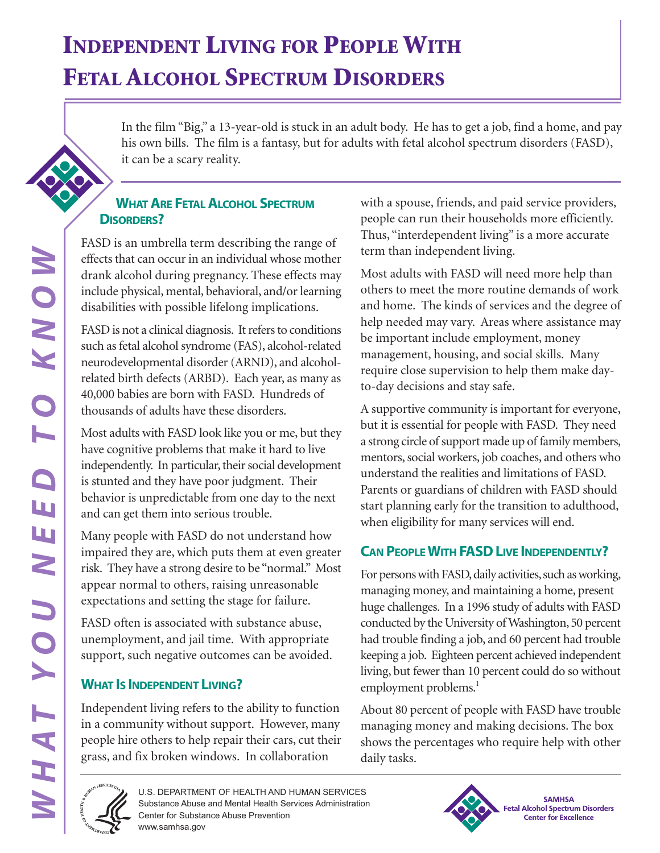# **INDEPENDENT LIVING FOR PEOPLE WITH FETAL ALCOHOL SPECTRUM DISORDERS**

In the film "Big," a 13-year-old is stuck in an adult body. He has to get a job, find a home, and pay his own bills. The film is a fantasy, but for adults with fetal alcohol spectrum disorders (FASD), it can be a scary reality.

### **WHAT ARE FETAL ALCOHOL SPECTRUM DISORDERS?**

FASD is an umbrella term describing the range of effects that can occur in an individual whose mother drank alcohol during pregnancy. These effects may include physical, mental, behavioral, and/or learning disabilities with possible lifelong implications.

FASD is not a clinical diagnosis. It refers to conditions such as fetal alcohol syndrome (FAS), alcohol-related neurodevelopmental disorder (ARND), and alcoholrelated birth defects (ARBD). Each year, as many as 40,000 babies are born with FASD. Hundreds of thousands of adults have these disorders.

Most adults with FASD look like you or me, but they have cognitive problems that make it hard to live independently. In particular, their social development is stunted and they have poor judgment. Their behavior is unpredictable from one day to the next and can get them into serious trouble.

Many people with FASD do not understand how impaired they are, which puts them at even greater risk. They have a strong desire to be "normal." Most appear normal to others, raising unreasonable expectations and setting the stage for failure.

FASD often is associated with substance abuse, unemployment, and jail time. With appropriate support, such negative outcomes can be avoided.

### **WHAT IS INDEPENDENT LIVING?**

Independent living refers to the ability to function in a community without support. However, many people hire others to help repair their cars, cut their grass, and fix broken windows. In collaboration

with a spouse, friends, and paid service providers, people can run their households more efficiently. Thus, "interdependent living" is a more accurate term than independent living.

Most adults with FASD will need more help than others to meet the more routine demands of work and home. The kinds of services and the degree of help needed may vary. Areas where assistance may be important include employment, money management, housing, and social skills. Many require close supervision to help them make dayto-day decisions and stay safe.

A supportive community is important for everyone, but it is essential for people with FASD. They need a strong circle of support made up of family members, mentors, social workers, job coaches, and others who understand the realities and limitations of FASD. Parents or guardians of children with FASD should start planning early for the transition to adulthood, when eligibility for many services will end.

# **CAN PEOPLE WITH FASD LIVE INDEPENDENTLY?**

For persons with FASD, daily activities, such as working, managing money, and maintaining a home, present huge challenges. In a 1996 study of adults with FASD conducted by the University of Washington, 50 percent had trouble finding a job, and 60 percent had trouble keeping a job. Eighteen percent achieved independent living, but fewer than 10 percent could do so without employment problems.<sup>1</sup>

About 80 percent of people with FASD have trouble managing money and making decisions. The box shows the percentages who require help with other daily tasks.





**SAMHSA Fetal Alcohol Spectrum Disorders Center for Excellence**